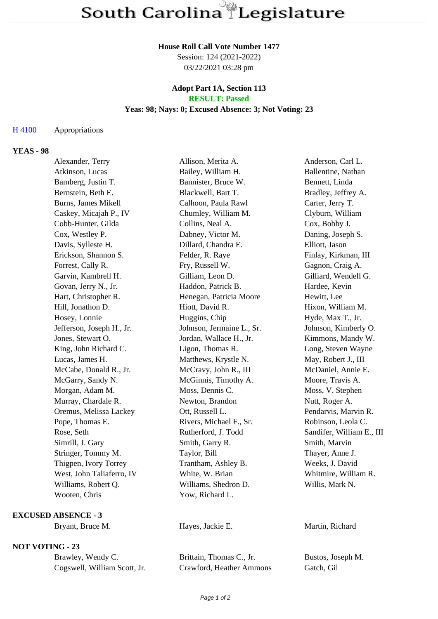#### **House Roll Call Vote Number 1477**

Session: 124 (2021-2022) 03/22/2021 03:28 pm

### **Adopt Part 1A, Section 113 RESULT: Passed**

#### **Yeas: 98; Nays: 0; Excused Absence: 3; Not Voting: 23**

# H 4100 Appropriations

## **YEAS - 98**

| Alexander, Terry          | Allison, Merita A.        | Anderson, Carl L.         |
|---------------------------|---------------------------|---------------------------|
| Atkinson, Lucas           | Bailey, William H.        | Ballentine, Nathan        |
| Bamberg, Justin T.        | Bannister, Bruce W.       | Bennett, Linda            |
| Bernstein, Beth E.        | Blackwell, Bart T.        | Bradley, Jeffrey A.       |
| Burns, James Mikell       | Calhoon, Paula Rawl       | Carter, Jerry T.          |
| Caskey, Micajah P., IV    | Chumley, William M.       | Clyburn, William          |
| Cobb-Hunter, Gilda        | Collins, Neal A.          | Cox, Bobby J.             |
| Cox, Westley P.           | Dabney, Victor M.         | Daning, Joseph S.         |
| Davis, Sylleste H.        | Dillard, Chandra E.       | Elliott, Jason            |
| Erickson, Shannon S.      | Felder, R. Raye           | Finlay, Kirkman, III      |
| Forrest, Cally R.         | Fry, Russell W.           | Gagnon, Craig A.          |
| Garvin, Kambrell H.       | Gilliam, Leon D.          | Gilliard, Wendell G.      |
| Govan, Jerry N., Jr.      | Haddon, Patrick B.        | Hardee, Kevin             |
| Hart, Christopher R.      | Henegan, Patricia Moore   | Hewitt, Lee               |
| Hill, Jonathon D.         | Hiott, David R.           | Hixon, William M.         |
| Hosey, Lonnie             | Huggins, Chip             | Hyde, Max T., Jr.         |
| Jefferson, Joseph H., Jr. | Johnson, Jermaine L., Sr. | Johnson, Kimberly O.      |
| Jones, Stewart O.         | Jordan, Wallace H., Jr.   | Kimmons, Mandy W.         |
| King, John Richard C.     | Ligon, Thomas R.          | Long, Steven Wayne        |
| Lucas, James H.           | Matthews, Krystle N.      | May, Robert J., III       |
| McCabe, Donald R., Jr.    | McCravy, John R., III     | McDaniel, Annie E.        |
| McGarry, Sandy N.         | McGinnis, Timothy A.      | Moore, Travis A.          |
| Morgan, Adam M.           | Moss, Dennis C.           | Moss, V. Stephen          |
| Murray, Chardale R.       | Newton, Brandon           | Nutt, Roger A.            |
| Oremus, Melissa Lackey    | Ott, Russell L.           | Pendarvis, Marvin R.      |
| Pope, Thomas E.           | Rivers, Michael F., Sr.   | Robinson, Leola C.        |
| Rose, Seth                | Rutherford, J. Todd       | Sandifer, William E., III |
| Simrill, J. Gary          | Smith, Garry R.           | Smith, Marvin             |
| Stringer, Tommy M.        | Taylor, Bill              | Thayer, Anne J.           |
| Thigpen, Ivory Torrey     | Trantham, Ashley B.       | Weeks, J. David           |
| West, John Taliaferro, IV | White, W. Brian           | Whitmire, William R.      |
| Williams, Robert Q.       | Williams, Shedron D.      | Willis, Mark N.           |
| Wooten, Chris             | Yow, Richard L.           |                           |
|                           |                           |                           |

### **EXCUSED ABSENCE - 3**

# **NOT VOTING - 23**

| Brawley, Wendy C.            |
|------------------------------|
| Cogswell, William Scott, Jr. |

Brittain, Thomas C., Jr. Bustos, Joseph M. Crawford, Heather Ammons Gatch, Gil

Bryant, Bruce M. **Hayes, Jackie E.** Martin, Richard